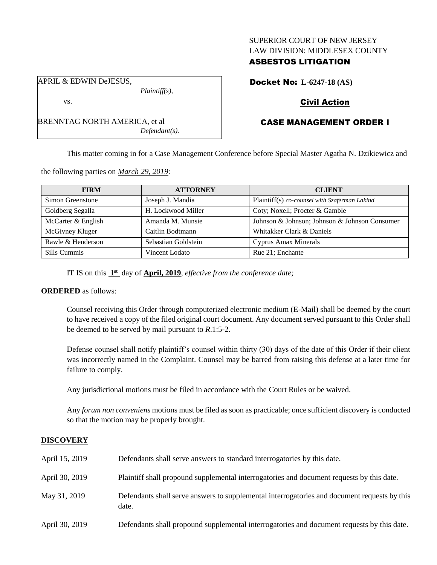### SUPERIOR COURT OF NEW JERSEY LAW DIVISION: MIDDLESEX COUNTY

# ASBESTOS LITIGATION

Docket No: **L-6247-18 (AS)**

# Civil Action

# CASE MANAGEMENT ORDER I

This matter coming in for a Case Management Conference before Special Master Agatha N. Dzikiewicz and

the following parties on *March 29, 2019:*

BRENNTAG NORTH AMERICA, et al

| <b>FIRM</b>        | <b>ATTORNEY</b>     | <b>CLIENT</b>                                 |
|--------------------|---------------------|-----------------------------------------------|
| Simon Greenstone   | Joseph J. Mandia    | Plaintiff(s) co-counsel with Szaferman Lakind |
| Goldberg Segalla   | H. Lockwood Miller  | Coty; Noxell; Procter & Gamble                |
| McCarter & English | Amanda M. Munsie    | Johnson & Johnson; Johnson & Johnson Consumer |
| McGivney Kluger    | Caitlin Bodtmann    | Whitakker Clark & Daniels                     |
| Rawle & Henderson  | Sebastian Goldstein | Cyprus Amax Minerals                          |
| Sills Cummis       | Vincent Lodato      | Rue 21; Enchante                              |

IT IS on this  $1<sup>st</sup>$  day of **April, 2019**, *effective from the conference date*;

*Plaintiff(s),*

*Defendant(s).*

# **ORDERED** as follows:

Counsel receiving this Order through computerized electronic medium (E-Mail) shall be deemed by the court to have received a copy of the filed original court document. Any document served pursuant to this Order shall be deemed to be served by mail pursuant to *R*.1:5-2.

Defense counsel shall notify plaintiff's counsel within thirty (30) days of the date of this Order if their client was incorrectly named in the Complaint. Counsel may be barred from raising this defense at a later time for failure to comply.

Any jurisdictional motions must be filed in accordance with the Court Rules or be waived.

Any *forum non conveniens* motions must be filed as soon as practicable; once sufficient discovery is conducted so that the motion may be properly brought.

## **DISCOVERY**

| April 15, 2019 | Defendants shall serve answers to standard interrogatories by this date.                              |
|----------------|-------------------------------------------------------------------------------------------------------|
| April 30, 2019 | Plaintiff shall propound supplemental interrogatories and document requests by this date.             |
| May 31, 2019   | Defendants shall serve answers to supplemental interrogatories and document requests by this<br>date. |
| April 30, 2019 | Defendants shall propound supplemental interrogatories and document requests by this date.            |

APRIL & EDWIN DeJESUS,

vs.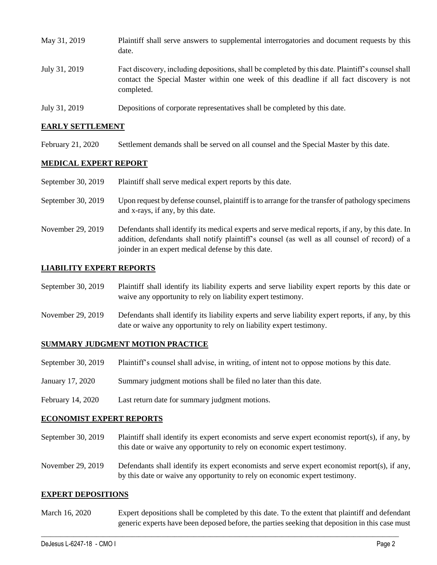| May 31, 2019  | Plaintiff shall serve answers to supplemental interrogatories and document requests by this<br>date.                                                                                                        |
|---------------|-------------------------------------------------------------------------------------------------------------------------------------------------------------------------------------------------------------|
| July 31, 2019 | Fact discovery, including depositions, shall be completed by this date. Plaintiff's counsel shall<br>contact the Special Master within one week of this deadline if all fact discovery is not<br>completed. |
| July 31, 2019 | Depositions of corporate representatives shall be completed by this date.                                                                                                                                   |

### **EARLY SETTLEMENT**

February 21, 2020 Settlement demands shall be served on all counsel and the Special Master by this date.

### **MEDICAL EXPERT REPORT**

| September 30, 2019 | Plaintiff shall serve medical expert reports by this date. |  |
|--------------------|------------------------------------------------------------|--|
|--------------------|------------------------------------------------------------|--|

- September 30, 2019 Upon request by defense counsel, plaintiff is to arrange for the transfer of pathology specimens and x-rays, if any, by this date.
- November 29, 2019 Defendants shall identify its medical experts and serve medical reports, if any, by this date. In addition, defendants shall notify plaintiff's counsel (as well as all counsel of record) of a joinder in an expert medical defense by this date.

### **LIABILITY EXPERT REPORTS**

- September 30, 2019 Plaintiff shall identify its liability experts and serve liability expert reports by this date or waive any opportunity to rely on liability expert testimony.
- November 29, 2019 Defendants shall identify its liability experts and serve liability expert reports, if any, by this date or waive any opportunity to rely on liability expert testimony.

#### **SUMMARY JUDGMENT MOTION PRACTICE**

- September 30, 2019 Plaintiff's counsel shall advise, in writing, of intent not to oppose motions by this date.
- January 17, 2020 Summary judgment motions shall be filed no later than this date.
- February 14, 2020 Last return date for summary judgment motions.

#### **ECONOMIST EXPERT REPORTS**

- September 30, 2019 Plaintiff shall identify its expert economists and serve expert economist report(s), if any, by this date or waive any opportunity to rely on economic expert testimony.
- November 29, 2019 Defendants shall identify its expert economists and serve expert economist report(s), if any, by this date or waive any opportunity to rely on economic expert testimony.

#### **EXPERT DEPOSITIONS**

March 16, 2020 Expert depositions shall be completed by this date. To the extent that plaintiff and defendant generic experts have been deposed before, the parties seeking that deposition in this case must

 $\_$  ,  $\_$  ,  $\_$  ,  $\_$  ,  $\_$  ,  $\_$  ,  $\_$  ,  $\_$  ,  $\_$  ,  $\_$  ,  $\_$  ,  $\_$  ,  $\_$  ,  $\_$  ,  $\_$  ,  $\_$  ,  $\_$  ,  $\_$  ,  $\_$  ,  $\_$  ,  $\_$  ,  $\_$  ,  $\_$  ,  $\_$  ,  $\_$  ,  $\_$  ,  $\_$  ,  $\_$  ,  $\_$  ,  $\_$  ,  $\_$  ,  $\_$  ,  $\_$  ,  $\_$  ,  $\_$  ,  $\_$  ,  $\_$  ,